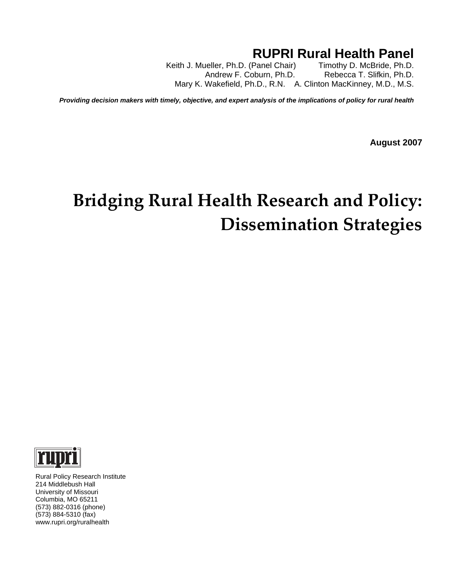# **RUPRI Rural Health Panel**<br>Panel Chair) Timothy D. McBride, Ph.D.

Keith J. Mueller, Ph.D. (Panel Chair) Andrew F. Coburn, Ph.D. Rebecca T. Slifkin, Ph.D. Mary K. Wakefield, Ph.D., R.N. A. Clinton MacKinney, M.D., M.S.

*Providing decision makers with timely, objective, and expert analysis of the implications of policy for rural health* 

**August 2007** 

# **Bridging Rural Health Research and Policy: Dissemination Strategies**



 Rural Policy Research Institute 214 Middlebush Hall University of Missouri Columbia, MO 65211 (573) 882-0316 (phone) (573) 884-5310 (fax) www.rupri.org/ruralhealth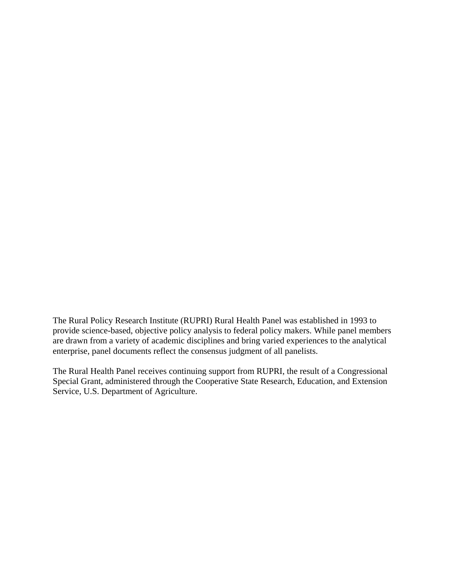The Rural Policy Research Institute (RUPRI) Rural Health Panel was established in 1993 to provide science-based, objective policy analysis to federal policy makers. While panel members are drawn from a variety of academic disciplines and bring varied experiences to the analytical enterprise, panel documents reflect the consensus judgment of all panelists.

The Rural Health Panel receives continuing support from RUPRI, the result of a Congressional Special Grant, administered through the Cooperative State Research, Education, and Extension Service, U.S. Department of Agriculture.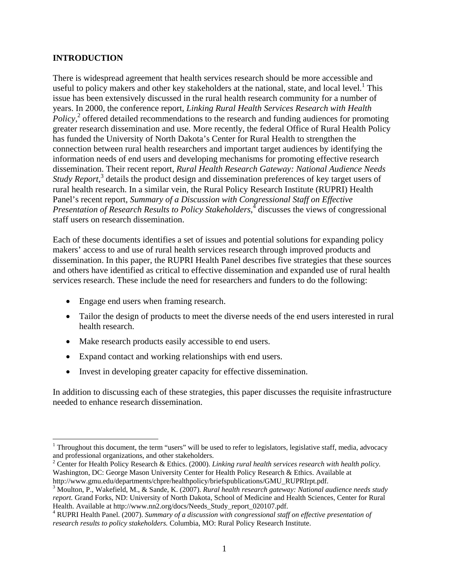#### **INTRODUCTION**

1

There is widespread agreement that health services research should be more accessible and useful to policy makers and other key stakeholders at the national, state, and local level.<sup>1</sup> This issue has been extensively discussed in the rural health research community for a number of years. In 2000, the conference report, *Linking Rural Health Services Research with Health Policy*,<sup>2</sup> offered detailed recommendations to the research and funding audiences for promoting greater research dissemination and use. More recently, the federal Office of Rural Health Policy has funded the University of North Dakota's Center for Rural Health to strengthen the connection between rural health researchers and important target audiences by identifying the information needs of end users and developing mechanisms for promoting effective research dissemination. Their recent report, *Rural Health Research Gateway: National Audience Needs Study Report*, <sup>3</sup> details the product design and dissemination preferences of key target users of rural health research. In a similar vein, the Rural Policy Research Institute (RUPRI) Health Panel's recent report, *Summary of a Discussion with Congressional Staff on Effective*  Presentation of Research Results to Policy Stakeholders,<sup>4</sup> discusses the views of congressional staff users on research dissemination.

Each of these documents identifies a set of issues and potential solutions for expanding policy makers' access to and use of rural health services research through improved products and dissemination. In this paper, the RUPRI Health Panel describes five strategies that these sources and others have identified as critical to effective dissemination and expanded use of rural health services research. These include the need for researchers and funders to do the following:

- Engage end users when framing research.
- Tailor the design of products to meet the diverse needs of the end users interested in rural health research.
- Make research products easily accessible to end users.
- Expand contact and working relationships with end users.
- Invest in developing greater capacity for effective dissemination.

In addition to discussing each of these strategies, this paper discusses the requisite infrastructure needed to enhance research dissemination.

<sup>&</sup>lt;sup>1</sup> Throughout this document, the term "users" will be used to refer to legislators, legislative staff, media, advocacy and professional organizations, and other stakeholders.

<sup>2</sup> Center for Health Policy Research & Ethics. (2000). *Linking rural health services research with health policy.* Washington, DC: George Mason University Center for Health Policy Research & Ethics. Available at

http://www.gmu.edu/departments/chpre/healthpolicy/briefspublications/GMU\_RUPRIrpt.pdf. 3

Moulton, P., Wakefield, M., & Sande, K. (2007). *Rural health research gateway: National audience needs study report.* Grand Forks, ND: University of North Dakota, School of Medicine and Health Sciences, Center for Rural Health. Available at http://www.nn2.org/docs/Needs\_Study\_report\_020107.pdf.

<sup>&</sup>lt;sup>4</sup> RUPRI Health Panel. (2007). Summary of a discussion with congressional staff on effective presentation of *research results to policy stakeholders.* Columbia, MO: Rural Policy Research Institute.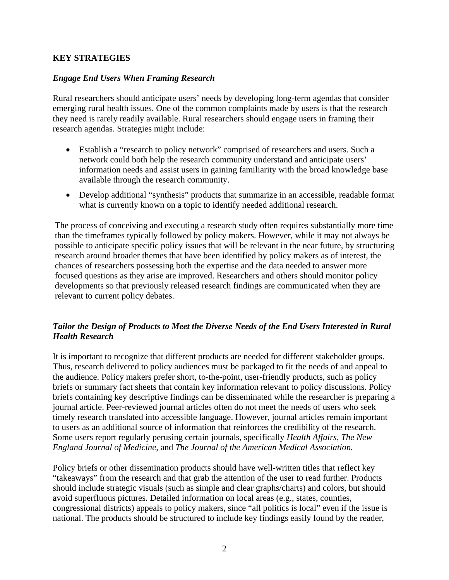#### **KEY STRATEGIES**

#### *Engage End Users When Framing Research*

Rural researchers should anticipate users' needs by developing long-term agendas that consider emerging rural health issues. One of the common complaints made by users is that the research they need is rarely readily available. Rural researchers should engage users in framing their research agendas. Strategies might include:

- Establish a "research to policy network" comprised of researchers and users. Such a network could both help the research community understand and anticipate users' information needs and assist users in gaining familiarity with the broad knowledge base available through the research community.
- Develop additional "synthesis" products that summarize in an accessible, readable format what is currently known on a topic to identify needed additional research.

The process of conceiving and executing a research study often requires substantially more time than the timeframes typically followed by policy makers. However, while it may not always be possible to anticipate specific policy issues that will be relevant in the near future, by structuring research around broader themes that have been identified by policy makers as of interest, the chances of researchers possessing both the expertise and the data needed to answer more focused questions as they arise are improved. Researchers and others should monitor policy developments so that previously released research findings are communicated when they are relevant to current policy debates.

## *Tailor the Design of Products to Meet the Diverse Needs of the End Users Interested in Rural Health Research*

It is important to recognize that different products are needed for different stakeholder groups. Thus, research delivered to policy audiences must be packaged to fit the needs of and appeal to the audience. Policy makers prefer short, to-the-point, user-friendly products, such as policy briefs or summary fact sheets that contain key information relevant to policy discussions. Policy briefs containing key descriptive findings can be disseminated while the researcher is preparing a journal article. Peer-reviewed journal articles often do not meet the needs of users who seek timely research translated into accessible language. However, journal articles remain important to users as an additional source of information that reinforces the credibility of the research. Some users report regularly perusing certain journals, specifically *Health Affairs*, *The New England Journal of Medicine,* and *The Journal of the American Medical Association.*

Policy briefs or other dissemination products should have well-written titles that reflect key "takeaways" from the research and that grab the attention of the user to read further. Products should include strategic visuals (such as simple and clear graphs/charts) and colors, but should avoid superfluous pictures. Detailed information on local areas (e.g., states, counties, congressional districts) appeals to policy makers, since "all politics is local" even if the issue is national. The products should be structured to include key findings easily found by the reader,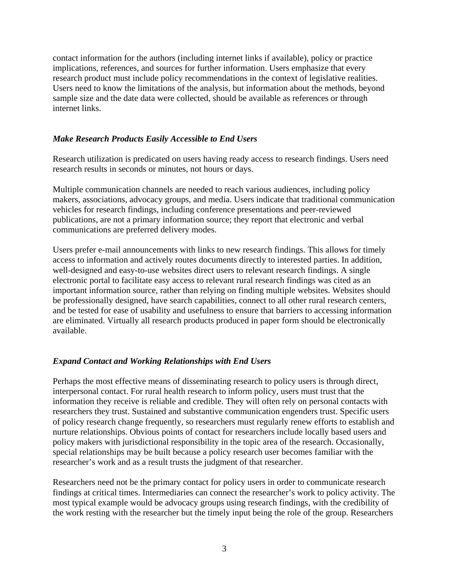contact information for the authors (including internet links if available), policy or practice implications, references, and sources for further information. Users emphasize that every research product must include policy recommendations in the context of legislative realities. Users need to know the limitations of the analysis, but information about the methods, beyond sample size and the date data were collected, should be available as references or through internet links.

#### *Make Research Products Easily Accessible to End Users*

Research utilization is predicated on users having ready access to research findings. Users need research results in seconds or minutes, not hours or days.

Multiple communication channels are needed to reach various audiences, including policy makers, associations, advocacy groups, and media. Users indicate that traditional communication vehicles for research findings, including conference presentations and peer-reviewed publications, are not a primary information source; they report that electronic and verbal communications are preferred delivery modes.

Users prefer e-mail announcements with links to new research findings. This allows for timely access to information and actively routes documents directly to interested parties. In addition, well-designed and easy-to-use websites direct users to relevant research findings. A single electronic portal to facilitate easy access to relevant rural research findings was cited as an important information source, rather than relying on finding multiple websites. Websites should be professionally designed, have search capabilities, connect to all other rural research centers, and be tested for ease of usability and usefulness to ensure that barriers to accessing information are eliminated. Virtually all research products produced in paper form should be electronically available.

## *Expand Contact and Working Relationships with End Users*

Perhaps the most effective means of disseminating research to policy users is through direct, interpersonal contact. For rural health research to inform policy, users must trust that the information they receive is reliable and credible. They will often rely on personal contacts with researchers they trust. Sustained and substantive communication engenders trust. Specific users of policy research change frequently, so researchers must regularly renew efforts to establish and nurture relationships. Obvious points of contact for researchers include locally based users and policy makers with jurisdictional responsibility in the topic area of the research. Occasionally, special relationships may be built because a policy research user becomes familiar with the researcher's work and as a result trusts the judgment of that researcher.

Researchers need not be the primary contact for policy users in order to communicate research findings at critical times. Intermediaries can connect the researcher's work to policy activity. The most typical example would be advocacy groups using research findings, with the credibility of the work resting with the researcher but the timely input being the role of the group. Researchers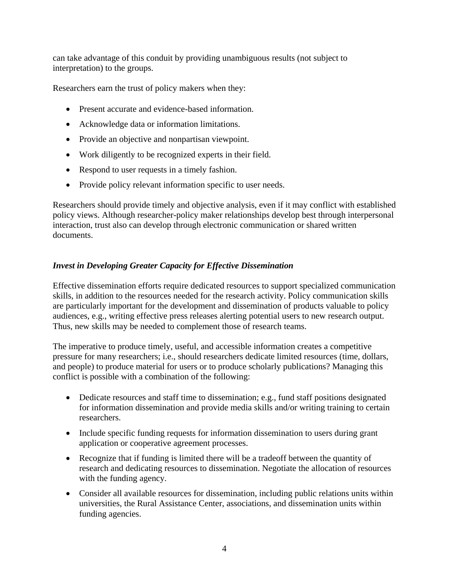can take advantage of this conduit by providing unambiguous results (not subject to interpretation) to the groups.

Researchers earn the trust of policy makers when they:

- Present accurate and evidence-based information.
- Acknowledge data or information limitations.
- Provide an objective and nonpartisan viewpoint.
- Work diligently to be recognized experts in their field.
- Respond to user requests in a timely fashion.
- Provide policy relevant information specific to user needs.

Researchers should provide timely and objective analysis, even if it may conflict with established policy views. Although researcher-policy maker relationships develop best through interpersonal interaction, trust also can develop through electronic communication or shared written documents.

# *Invest in Developing Greater Capacity for Effective Dissemination*

Effective dissemination efforts require dedicated resources to support specialized communication skills, in addition to the resources needed for the research activity. Policy communication skills are particularly important for the development and dissemination of products valuable to policy audiences, e.g., writing effective press releases alerting potential users to new research output. Thus, new skills may be needed to complement those of research teams.

The imperative to produce timely, useful, and accessible information creates a competitive pressure for many researchers; i.e., should researchers dedicate limited resources (time, dollars, and people) to produce material for users or to produce scholarly publications? Managing this conflict is possible with a combination of the following:

- Dedicate resources and staff time to dissemination; e.g., fund staff positions designated for information dissemination and provide media skills and/or writing training to certain researchers.
- Include specific funding requests for information dissemination to users during grant application or cooperative agreement processes.
- Recognize that if funding is limited there will be a tradeoff between the quantity of research and dedicating resources to dissemination. Negotiate the allocation of resources with the funding agency.
- Consider all available resources for dissemination, including public relations units within universities, the Rural Assistance Center, associations, and dissemination units within funding agencies.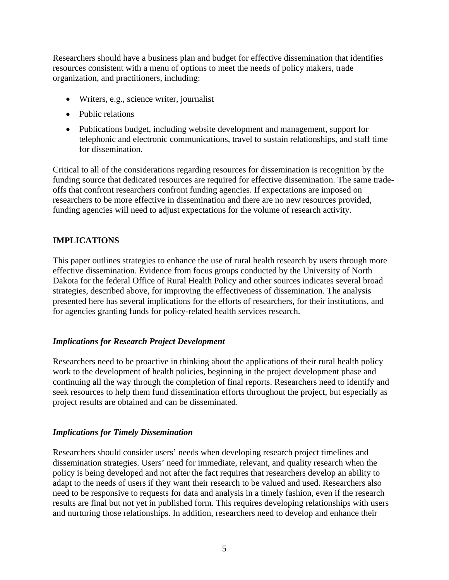Researchers should have a business plan and budget for effective dissemination that identifies resources consistent with a menu of options to meet the needs of policy makers, trade organization, and practitioners, including:

- Writers, e.g., science writer, journalist
- Public relations
- Publications budget, including website development and management, support for telephonic and electronic communications, travel to sustain relationships, and staff time for dissemination.

Critical to all of the considerations regarding resources for dissemination is recognition by the funding source that dedicated resources are required for effective dissemination. The same tradeoffs that confront researchers confront funding agencies. If expectations are imposed on researchers to be more effective in dissemination and there are no new resources provided, funding agencies will need to adjust expectations for the volume of research activity.

## **IMPLICATIONS**

This paper outlines strategies to enhance the use of rural health research by users through more effective dissemination. Evidence from focus groups conducted by the University of North Dakota for the federal Office of Rural Health Policy and other sources indicates several broad strategies, described above, for improving the effectiveness of dissemination. The analysis presented here has several implications for the efforts of researchers, for their institutions, and for agencies granting funds for policy-related health services research.

## *Implications for Research Project Development*

Researchers need to be proactive in thinking about the applications of their rural health policy work to the development of health policies, beginning in the project development phase and continuing all the way through the completion of final reports. Researchers need to identify and seek resources to help them fund dissemination efforts throughout the project, but especially as project results are obtained and can be disseminated.

## *Implications for Timely Dissemination*

Researchers should consider users' needs when developing research project timelines and dissemination strategies. Users' need for immediate, relevant, and quality research when the policy is being developed and not after the fact requires that researchers develop an ability to adapt to the needs of users if they want their research to be valued and used. Researchers also need to be responsive to requests for data and analysis in a timely fashion, even if the research results are final but not yet in published form. This requires developing relationships with users and nurturing those relationships. In addition, researchers need to develop and enhance their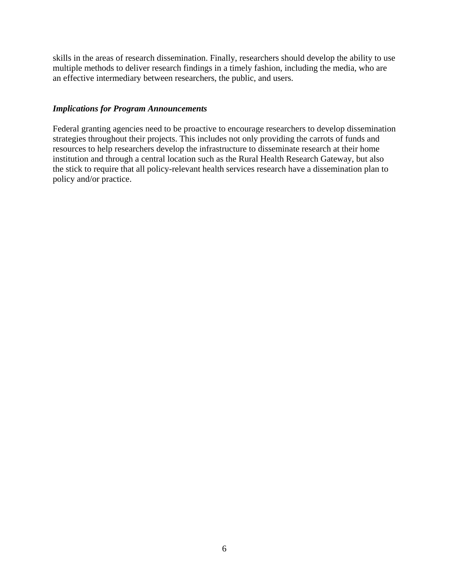skills in the areas of research dissemination. Finally, researchers should develop the ability to use multiple methods to deliver research findings in a timely fashion, including the media, who are an effective intermediary between researchers, the public, and users.

#### *Implications for Program Announcements*

Federal granting agencies need to be proactive to encourage researchers to develop dissemination strategies throughout their projects. This includes not only providing the carrots of funds and resources to help researchers develop the infrastructure to disseminate research at their home institution and through a central location such as the Rural Health Research Gateway, but also the stick to require that all policy-relevant health services research have a dissemination plan to policy and/or practice.